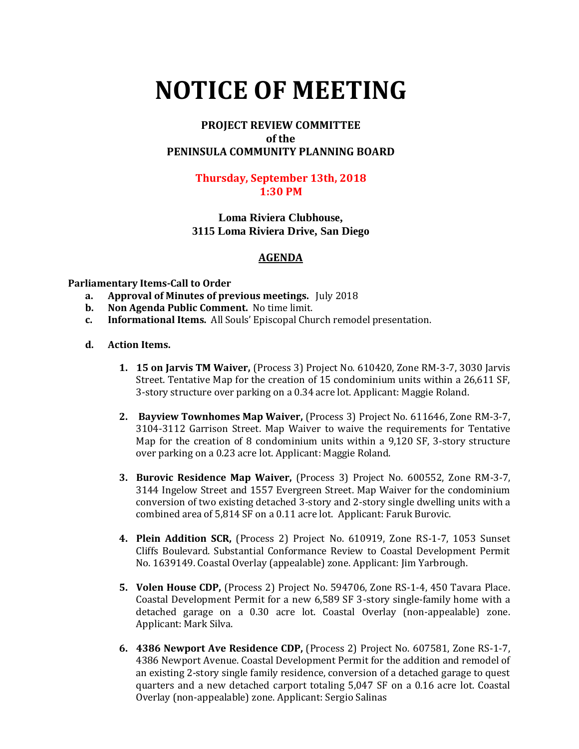# **NOTICE OF MEETING**

# **PROJECT REVIEW COMMITTEE of the PENINSULA COMMUNITY PLANNING BOARD**

### **Thursday, September 13th, 2018 1:30 PM**

## **Loma Riviera Clubhouse, 3115 Loma Riviera Drive, San Diego**

# **AGENDA**

#### **Parliamentary Items-Call to Order**

- **a. Approval of Minutes of previous meetings.** July 2018
- **b. Non Agenda Public Comment.** No time limit.
- **c. Informational Items.** All Souls' Episcopal Church remodel presentation.

#### **d. Action Items.**

- **1. 15 on Jarvis TM Waiver,** (Process 3) Project No. 610420, Zone RM-3-7, 3030 Jarvis Street. Tentative Map for the creation of 15 condominium units within a 26,611 SF, 3-story structure over parking on a 0.34 acre lot. Applicant: Maggie Roland.
- **2. Bayview Townhomes Map Waiver,** (Process 3) Project No. 611646, Zone RM-3-7, 3104-3112 Garrison Street. Map Waiver to waive the requirements for Tentative Map for the creation of 8 condominium units within a 9,120 SF, 3-story structure over parking on a 0.23 acre lot. Applicant: Maggie Roland.
- **3. Burovic Residence Map Waiver,** (Process 3) Project No. 600552, Zone RM-3-7, 3144 Ingelow Street and 1557 Evergreen Street. Map Waiver for the condominium conversion of two existing detached 3-story and 2-story single dwelling units with a combined area of 5,814 SF on a 0.11 acre lot. Applicant: Faruk Burovic.
- **4. Plein Addition SCR,** (Process 2) Project No. 610919, Zone RS-1-7, 1053 Sunset Cliffs Boulevard. Substantial Conformance Review to Coastal Development Permit No. 1639149. Coastal Overlay (appealable) zone. Applicant: Jim Yarbrough.
- **5. Volen House CDP,** (Process 2) Project No. 594706, Zone RS-1-4, 450 Tavara Place. Coastal Development Permit for a new 6,589 SF 3-story single-family home with a detached garage on a 0.30 acre lot. Coastal Overlay (non-appealable) zone. Applicant: Mark Silva.
- **6. 4386 Newport Ave Residence CDP,** (Process 2) Project No. 607581, Zone RS-1-7, 4386 Newport Avenue. Coastal Development Permit for the addition and remodel of an existing 2-story single family residence, conversion of a detached garage to quest quarters and a new detached carport totaling 5,047 SF on a 0.16 acre lot. Coastal Overlay (non-appealable) zone. Applicant: Sergio Salinas